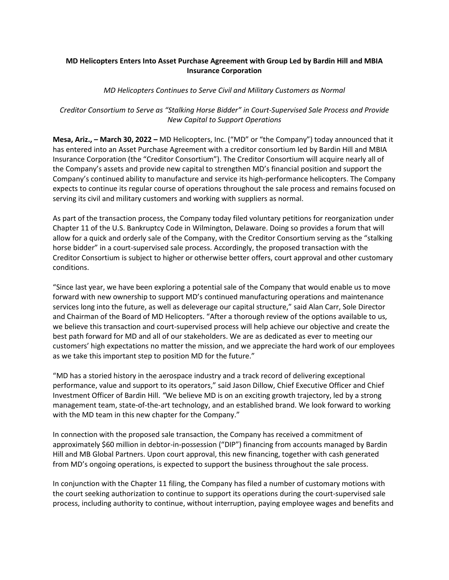## **MD Helicopters Enters Into Asset Purchase Agreement with Group Led by Bardin Hill and MBIA Insurance Corporation**

### *MD Helicopters Continues to Serve Civil and Military Customers as Normal*

# *Creditor Consortium to Serve as "Stalking Horse Bidder" in Court-Supervised Sale Process and Provide New Capital to Support Operations*

**Mesa, Ariz., – March 30, 2022 –** MD Helicopters, Inc. ("MD" or "the Company") today announced that it has entered into an Asset Purchase Agreement with a creditor consortium led by Bardin Hill and MBIA Insurance Corporation (the "Creditor Consortium"). The Creditor Consortium will acquire nearly all of the Company's assets and provide new capital to strengthen MD's financial position and support the Company's continued ability to manufacture and service its high-performance helicopters. The Company expects to continue its regular course of operations throughout the sale process and remains focused on serving its civil and military customers and working with suppliers as normal.

As part of the transaction process, the Company today filed voluntary petitions for reorganization under Chapter 11 of the U.S. Bankruptcy Code in Wilmington, Delaware. Doing so provides a forum that will allow for a quick and orderly sale of the Company, with the Creditor Consortium serving as the "stalking horse bidder" in a court-supervised sale process. Accordingly, the proposed transaction with the Creditor Consortium is subject to higher or otherwise better offers, court approval and other customary conditions.

"Since last year, we have been exploring a potential sale of the Company that would enable us to move forward with new ownership to support MD's continued manufacturing operations and maintenance services long into the future, as well as deleverage our capital structure," said Alan Carr, Sole Director and Chairman of the Board of MD Helicopters. "After a thorough review of the options available to us, we believe this transaction and court-supervised process will help achieve our objective and create the best path forward for MD and all of our stakeholders. We are as dedicated as ever to meeting our customers' high expectations no matter the mission, and we appreciate the hard work of our employees as we take this important step to position MD for the future."

"MD has a storied history in the aerospace industry and a track record of delivering exceptional performance, value and support to its operators," said Jason Dillow, Chief Executive Officer and Chief Investment Officer of Bardin Hill. *"*We believe MD is on an exciting growth trajectory, led by a strong management team, state-of-the-art technology, and an established brand. We look forward to working with the MD team in this new chapter for the Company."

In connection with the proposed sale transaction, the Company has received a commitment of approximately \$60 million in debtor-in-possession ("DIP") financing from accounts managed by Bardin Hill and MB Global Partners. Upon court approval, this new financing, together with cash generated from MD's ongoing operations, is expected to support the business throughout the sale process.

In conjunction with the Chapter 11 filing, the Company has filed a number of customary motions with the court seeking authorization to continue to support its operations during the court-supervised sale process, including authority to continue, without interruption, paying employee wages and benefits and